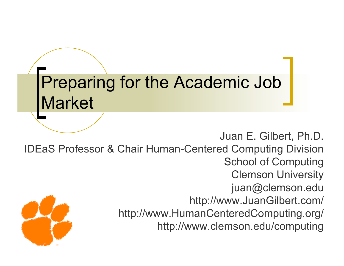#### Preparing for the Academic Job Market

Juan E. Gilbert, Ph.D. IDEaS Professor & Chair Human-Centered Computing Division School of Computing Clemson University juan@clemson.edu http://www.JuanGilbert.com/ http://www.HumanCenteredComputing.org/ http://www.clemson.edu/computing

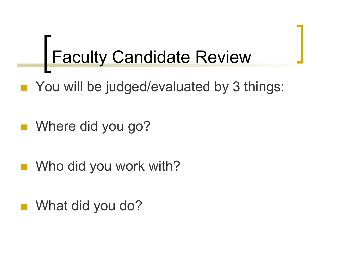# Faculty Candidate Review

- You will be judged/evaluated by 3 things:
- Where did you go?
- Who did you work with?
- What did you do?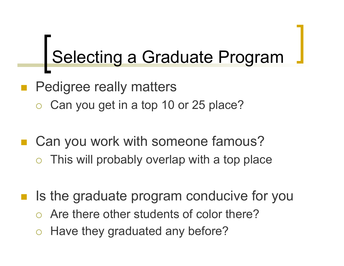## Selecting a Graduate Program

- Pedigree really matters
	- Can you get in a top 10 or 25 place?
- Can you work with someone famous? This will probably overlap with a top place
	-
- Is the graduate program conducive for you
	- Are there other students of color there?
	- Have they graduated any before?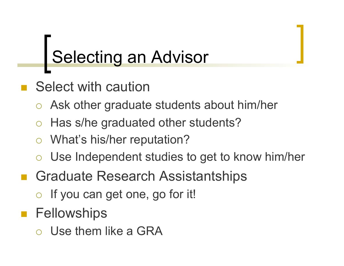### Selecting an Advisor

- Select with caution
	- Ask other graduate students about him/her
	- Has s/he graduated other students?
	- What's his/her reputation?
	- Use Independent studies to get to know him/her
- Graduate Research Assistantships
	- o If you can get one, go for it!
- **Fellowships** 
	- Use them like a GRA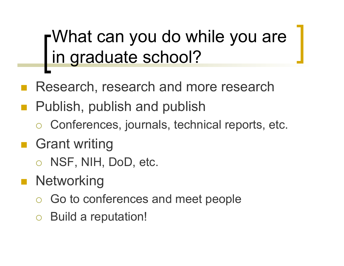What can you do while you are in graduate school?

- Research, research and more research
- Publish, publish and publish
	- Conferences, journals, technical reports, etc.
- Grant writing
	- o NSF, NIH, DoD, etc.
- **Networking** 
	- Go to conferences and meet people
	- Build a reputation!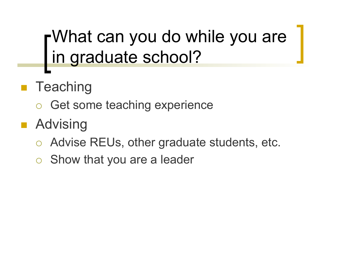What can you do while you are in graduate school?

- **Teaching** 
	- o Get some teaching experience
- **Advising** 
	- Advise REUs, other graduate students, etc.
	- Show that you are a leader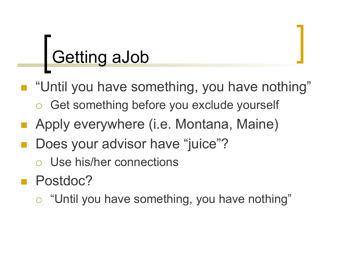### Getting aJob

- "Until you have something, you have nothing"
	- Get something before you exclude yourself
- **Apply everywhere (i.e. Montana, Maine)**
- Does your advisor have "juice"?
	- Use his/her connections
- **Postdoc?** 
	- "Until you have something, you have nothing"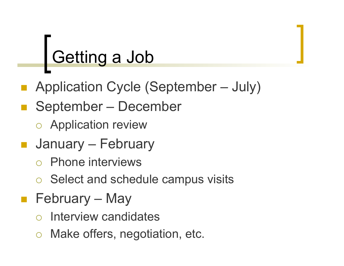### Getting a Job

- Application Cycle (September July)
- September December
	- Application review
- **January February** 
	- Phone interviews
	- Select and schedule campus visits
- **February May** 
	- Interview candidates
	- Make offers, negotiation, etc.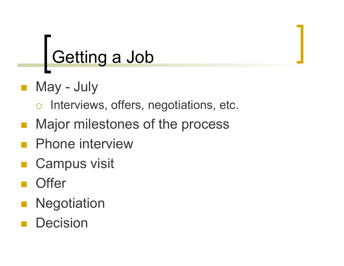### Getting a Job

- May July
	- o Interviews, offers, negotiations, etc.
- **Najor milestones of the process**
- Phone interview
- Campus visit
- **Offer**
- **Negotiation**
- Decision